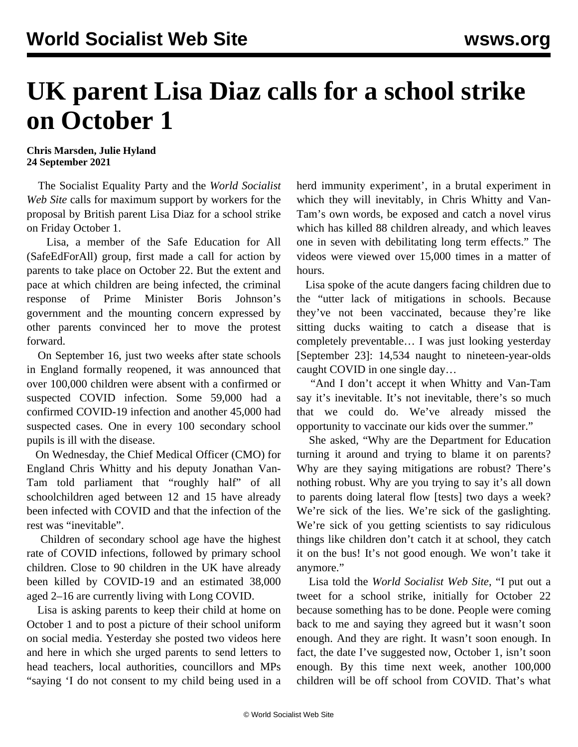## **UK parent Lisa Diaz calls for a school strike on October 1**

## **Chris Marsden, Julie Hyland 24 September 2021**

 The Socialist Equality Party and the *World Socialist Web Site* calls for maximum support by workers for the proposal by British parent Lisa Diaz for a school strike on Friday October 1.

 Lisa, a member of the Safe Education for All (SafeEdForAll) group, first made a call for action by parents to take place on October 22. But the extent and pace at which children are being infected, the criminal response of Prime Minister Boris Johnson's government and the mounting concern expressed by other parents convinced her to move the protest forward.

 On September 16, just two weeks after state schools in England formally reopened, it was announced that over 100,000 children were absent with a confirmed or suspected COVID infection. Some 59,000 had a confirmed COVID-19 infection and another 45,000 had suspected cases. One in every 100 secondary school pupils is ill with the disease.

 On Wednesday, the Chief Medical Officer (CMO) for England Chris Whitty and his deputy Jonathan Van-Tam told parliament that "roughly half" of all schoolchildren aged between 12 and 15 have already been infected with COVID and that the infection of the rest was "inevitable".

 Children of secondary school age have the highest rate of COVID infections, followed by primary school children. Close to 90 children in the UK have already been killed by COVID-19 and an estimated 38,000 aged 2–16 are currently living with Long COVID.

 Lisa is asking parents to keep their child at home on October 1 and to post a picture of their school uniform on social media. Yesterday she posted two videos [here](https://twitter.com/Sandyboots2020/status/1441366760758915072) and [here](https://twitter.com/Sandyboots2020/status/1441365463473156097) in which she urged parents to send letters to head teachers, local authorities, councillors and MPs "saying 'I do not consent to my child being used in a herd immunity experiment', in a brutal experiment in which they will inevitably, in Chris Whitty and Van-Tam's own words, be exposed and catch a novel virus which has killed 88 children already, and which leaves one in seven with debilitating long term effects." The videos were viewed over 15,000 times in a matter of hours.

 Lisa spoke of the acute dangers facing children due to the "utter lack of mitigations in schools. Because they've not been vaccinated, because they're like sitting ducks waiting to catch a disease that is completely preventable… I was just looking yesterday [September 23]: 14,534 naught to nineteen-year-olds caught COVID in one single day…

 "And I don't accept it when Whitty and Van-Tam say it's inevitable. It's not inevitable, there's so much that we could do. We've already missed the opportunity to vaccinate our kids over the summer."

 She asked, "Why are the Department for Education turning it around and trying to blame it on parents? Why are they saying mitigations are robust? There's nothing robust. Why are you trying to say it's all down to parents doing lateral flow [tests] two days a week? We're sick of the lies. We're sick of the gaslighting. We're sick of you getting scientists to say ridiculous things like children don't catch it at school, they catch it on the bus! It's not good enough. We won't take it anymore."

 Lisa told the *World Socialist Web Site*, "I put out a tweet for a school strike, initially for October 22 because something has to be done. People were coming back to me and saying they agreed but it wasn't soon enough. And they are right. It wasn't soon enough. In fact, the date I've suggested now, October 1, isn't soon enough. By this time next week, another 100,000 children will be off school from COVID. That's what